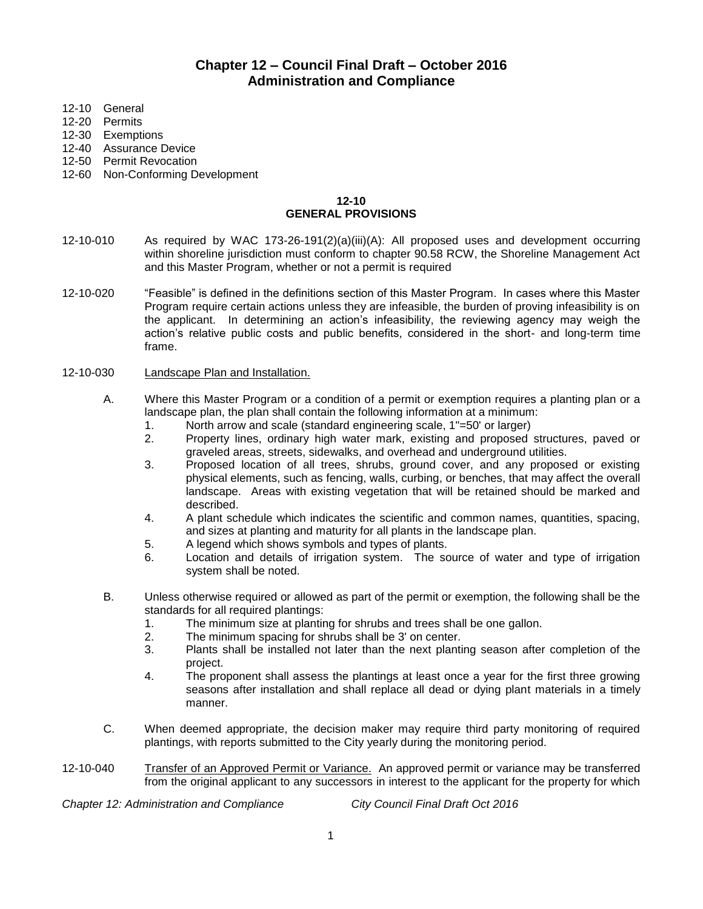# **Chapter 12 – Council Final Draft – October 2016 Administration and Compliance**

- 12-10 General
- 12-20 Permits
- 12-30 Exemptions
- 12-40 Assurance Device
- 12-50 Permit Revocation
- 12-60 Non-Conforming Development

### **12-10 GENERAL PROVISIONS**

- 12-10-010 As required by WAC 173-26-191(2)(a)(iii)(A): All proposed uses and development occurring within shoreline jurisdiction must conform to chapter 90.58 RCW, the Shoreline Management Act and this Master Program, whether or not a permit is required
- 12-10-020 "Feasible" is defined in the definitions section of this Master Program. In cases where this Master Program require certain actions unless they are infeasible, the burden of proving infeasibility is on the applicant. In determining an action's infeasibility, the reviewing agency may weigh the action's relative public costs and public benefits, considered in the short- and long-term time frame.

#### 12-10-030 Landscape Plan and Installation.

- A. Where this Master Program or a condition of a permit or exemption requires a planting plan or a landscape plan, the plan shall contain the following information at a minimum:
	- 1. North arrow and scale (standard engineering scale, 1"=50' or larger)
	- 2. Property lines, ordinary high water mark, existing and proposed structures, paved or graveled areas, streets, sidewalks, and overhead and underground utilities.
	- 3. Proposed location of all trees, shrubs, ground cover, and any proposed or existing physical elements, such as fencing, walls, curbing, or benches, that may affect the overall landscape. Areas with existing vegetation that will be retained should be marked and described.
	- 4. A plant schedule which indicates the scientific and common names, quantities, spacing, and sizes at planting and maturity for all plants in the landscape plan.
	- 5. A legend which shows symbols and types of plants.
	- 6. Location and details of irrigation system. The source of water and type of irrigation system shall be noted.
- B. Unless otherwise required or allowed as part of the permit or exemption, the following shall be the standards for all required plantings:
	- 1. The minimum size at planting for shrubs and trees shall be one gallon.
	- 2. The minimum spacing for shrubs shall be 3' on center.
	- 3. Plants shall be installed not later than the next planting season after completion of the project.
	- 4. The proponent shall assess the plantings at least once a year for the first three growing seasons after installation and shall replace all dead or dying plant materials in a timely manner.
- C. When deemed appropriate, the decision maker may require third party monitoring of required plantings, with reports submitted to the City yearly during the monitoring period.
- 12-10-040 Transfer of an Approved Permit or Variance. An approved permit or variance may be transferred from the original applicant to any successors in interest to the applicant for the property for which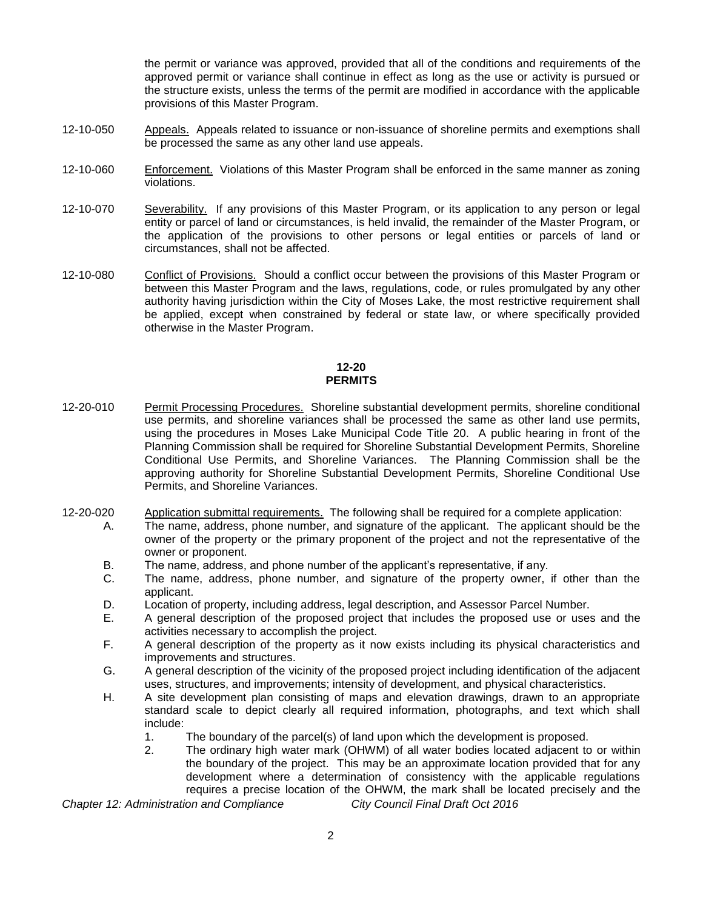the permit or variance was approved, provided that all of the conditions and requirements of the approved permit or variance shall continue in effect as long as the use or activity is pursued or the structure exists, unless the terms of the permit are modified in accordance with the applicable provisions of this Master Program.

- 12-10-050 Appeals. Appeals related to issuance or non-issuance of shoreline permits and exemptions shall be processed the same as any other land use appeals.
- 12-10-060 Enforcement. Violations of this Master Program shall be enforced in the same manner as zoning violations.
- 12-10-070 Severability. If any provisions of this Master Program, or its application to any person or legal entity or parcel of land or circumstances, is held invalid, the remainder of the Master Program, or the application of the provisions to other persons or legal entities or parcels of land or circumstances, shall not be affected.
- 12-10-080 Conflict of Provisions. Should a conflict occur between the provisions of this Master Program or between this Master Program and the laws, regulations, code, or rules promulgated by any other authority having jurisdiction within the City of Moses Lake, the most restrictive requirement shall be applied, except when constrained by federal or state law, or where specifically provided otherwise in the Master Program.

### **12-20 PERMITS**

- 12-20-010 Permit Processing Procedures. Shoreline substantial development permits, shoreline conditional use permits, and shoreline variances shall be processed the same as other land use permits, using the procedures in Moses Lake Municipal Code Title 20. A public hearing in front of the Planning Commission shall be required for Shoreline Substantial Development Permits, Shoreline Conditional Use Permits, and Shoreline Variances. The Planning Commission shall be the approving authority for Shoreline Substantial Development Permits, Shoreline Conditional Use Permits, and Shoreline Variances.
- 12-20-020 Application submittal requirements. The following shall be required for a complete application:
	- A. The name, address, phone number, and signature of the applicant. The applicant should be the owner of the property or the primary proponent of the project and not the representative of the owner or proponent.
		- B. The name, address, and phone number of the applicant's representative, if any.
		- C. The name, address, phone number, and signature of the property owner, if other than the applicant.
		- D. Location of property, including address, legal description, and Assessor Parcel Number.
		- E. A general description of the proposed project that includes the proposed use or uses and the activities necessary to accomplish the project.
		- F. A general description of the property as it now exists including its physical characteristics and improvements and structures.
		- G. A general description of the vicinity of the proposed project including identification of the adjacent uses, structures, and improvements; intensity of development, and physical characteristics.
		- H. A site development plan consisting of maps and elevation drawings, drawn to an appropriate standard scale to depict clearly all required information, photographs, and text which shall include:
			- 1. The boundary of the parcel(s) of land upon which the development is proposed.
			- 2. The ordinary high water mark (OHWM) of all water bodies located adjacent to or within the boundary of the project. This may be an approximate location provided that for any development where a determination of consistency with the applicable regulations requires a precise location of the OHWM, the mark shall be located precisely and the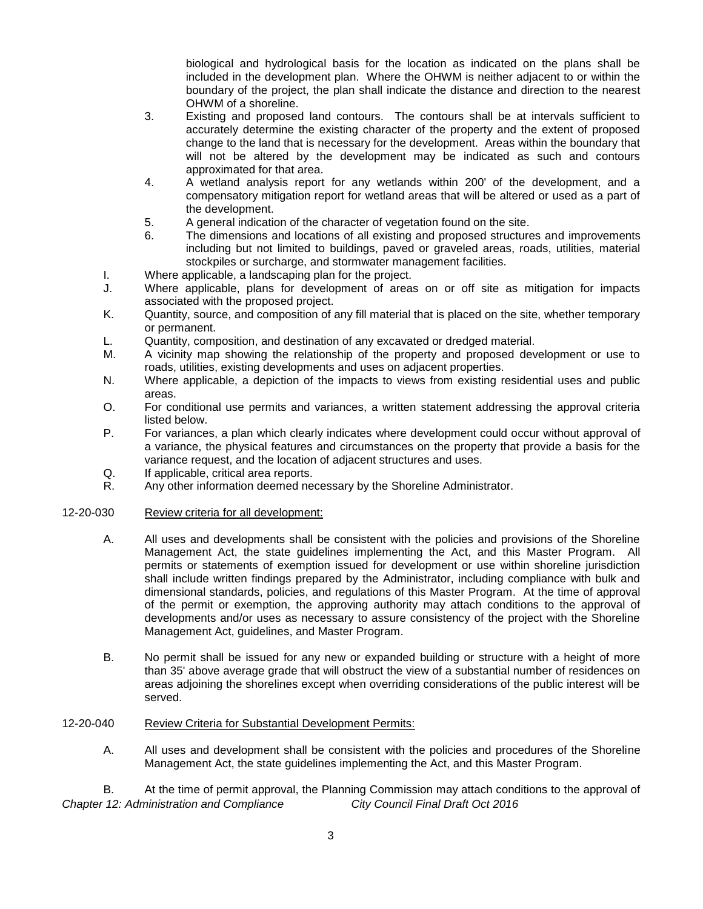biological and hydrological basis for the location as indicated on the plans shall be included in the development plan. Where the OHWM is neither adjacent to or within the boundary of the project, the plan shall indicate the distance and direction to the nearest OHWM of a shoreline.

- 3. Existing and proposed land contours. The contours shall be at intervals sufficient to accurately determine the existing character of the property and the extent of proposed change to the land that is necessary for the development. Areas within the boundary that will not be altered by the development may be indicated as such and contours approximated for that area.
- 4. A wetland analysis report for any wetlands within 200' of the development, and a compensatory mitigation report for wetland areas that will be altered or used as a part of the development.
- 5. A general indication of the character of vegetation found on the site.
- 6. The dimensions and locations of all existing and proposed structures and improvements including but not limited to buildings, paved or graveled areas, roads, utilities, material stockpiles or surcharge, and stormwater management facilities.
- I. Where applicable, a landscaping plan for the project.
- J. Where applicable, plans for development of areas on or off site as mitigation for impacts associated with the proposed project.
- K. Quantity, source, and composition of any fill material that is placed on the site, whether temporary or permanent.
- L. Quantity, composition, and destination of any excavated or dredged material.
- M. A vicinity map showing the relationship of the property and proposed development or use to roads, utilities, existing developments and uses on adjacent properties.
- N. Where applicable, a depiction of the impacts to views from existing residential uses and public areas.
- O. For conditional use permits and variances, a written statement addressing the approval criteria listed below.
- P. For variances, a plan which clearly indicates where development could occur without approval of a variance, the physical features and circumstances on the property that provide a basis for the variance request, and the location of adjacent structures and uses.
- Q. If applicable, critical area reports.
- R. Any other information deemed necessary by the Shoreline Administrator.

### 12-20-030 Review criteria for all development:

- A. All uses and developments shall be consistent with the policies and provisions of the Shoreline Management Act, the state guidelines implementing the Act, and this Master Program. All permits or statements of exemption issued for development or use within shoreline jurisdiction shall include written findings prepared by the Administrator, including compliance with bulk and dimensional standards, policies, and regulations of this Master Program. At the time of approval of the permit or exemption, the approving authority may attach conditions to the approval of developments and/or uses as necessary to assure consistency of the project with the Shoreline Management Act, guidelines, and Master Program.
- B. No permit shall be issued for any new or expanded building or structure with a height of more than 35' above average grade that will obstruct the view of a substantial number of residences on areas adjoining the shorelines except when overriding considerations of the public interest will be served.

### 12-20-040 Review Criteria for Substantial Development Permits:

A. All uses and development shall be consistent with the policies and procedures of the Shoreline Management Act, the state guidelines implementing the Act, and this Master Program.

*Chapter 12: Administration and Compliance City Council Final Draft Oct 2016* B. At the time of permit approval, the Planning Commission may attach conditions to the approval of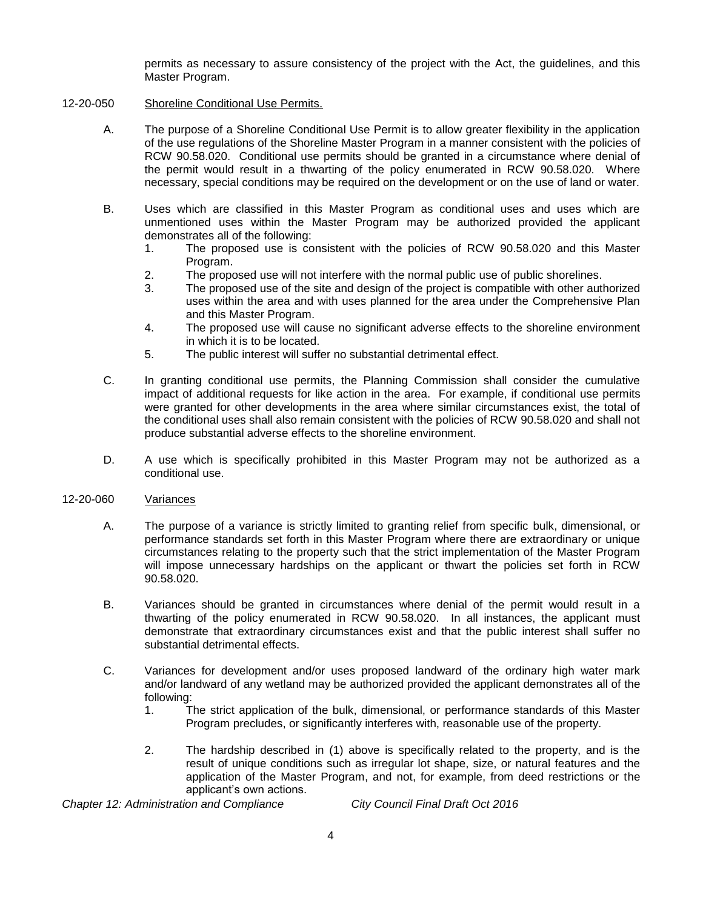permits as necessary to assure consistency of the project with the Act, the guidelines, and this Master Program.

### 12-20-050 Shoreline Conditional Use Permits.

- A. The purpose of a Shoreline Conditional Use Permit is to allow greater flexibility in the application of the use regulations of the Shoreline Master Program in a manner consistent with the policies of RCW 90.58.020. Conditional use permits should be granted in a circumstance where denial of the permit would result in a thwarting of the policy enumerated in RCW 90.58.020. Where necessary, special conditions may be required on the development or on the use of land or water.
- B. Uses which are classified in this Master Program as conditional uses and uses which are unmentioned uses within the Master Program may be authorized provided the applicant demonstrates all of the following:
	- 1. The proposed use is consistent with the policies of RCW 90.58.020 and this Master Program.
	- 2. The proposed use will not interfere with the normal public use of public shorelines.
	- 3. The proposed use of the site and design of the project is compatible with other authorized uses within the area and with uses planned for the area under the Comprehensive Plan and this Master Program.
	- 4. The proposed use will cause no significant adverse effects to the shoreline environment in which it is to be located.
	- 5. The public interest will suffer no substantial detrimental effect.
- C. In granting conditional use permits, the Planning Commission shall consider the cumulative impact of additional requests for like action in the area. For example, if conditional use permits were granted for other developments in the area where similar circumstances exist, the total of the conditional uses shall also remain consistent with the policies of RCW 90.58.020 and shall not produce substantial adverse effects to the shoreline environment.
- D. A use which is specifically prohibited in this Master Program may not be authorized as a conditional use.

### 12-20-060 Variances

- A. The purpose of a variance is strictly limited to granting relief from specific bulk, dimensional, or performance standards set forth in this Master Program where there are extraordinary or unique circumstances relating to the property such that the strict implementation of the Master Program will impose unnecessary hardships on the applicant or thwart the policies set forth in RCW 90.58.020.
- B. Variances should be granted in circumstances where denial of the permit would result in a thwarting of the policy enumerated in RCW 90.58.020. In all instances, the applicant must demonstrate that extraordinary circumstances exist and that the public interest shall suffer no substantial detrimental effects.
- C. Variances for development and/or uses proposed landward of the ordinary high water mark and/or landward of any wetland may be authorized provided the applicant demonstrates all of the following:
	- 1. The strict application of the bulk, dimensional, or performance standards of this Master Program precludes, or significantly interferes with, reasonable use of the property.
	- 2. The hardship described in (1) above is specifically related to the property, and is the result of unique conditions such as irregular lot shape, size, or natural features and the application of the Master Program, and not, for example, from deed restrictions or the applicant's own actions.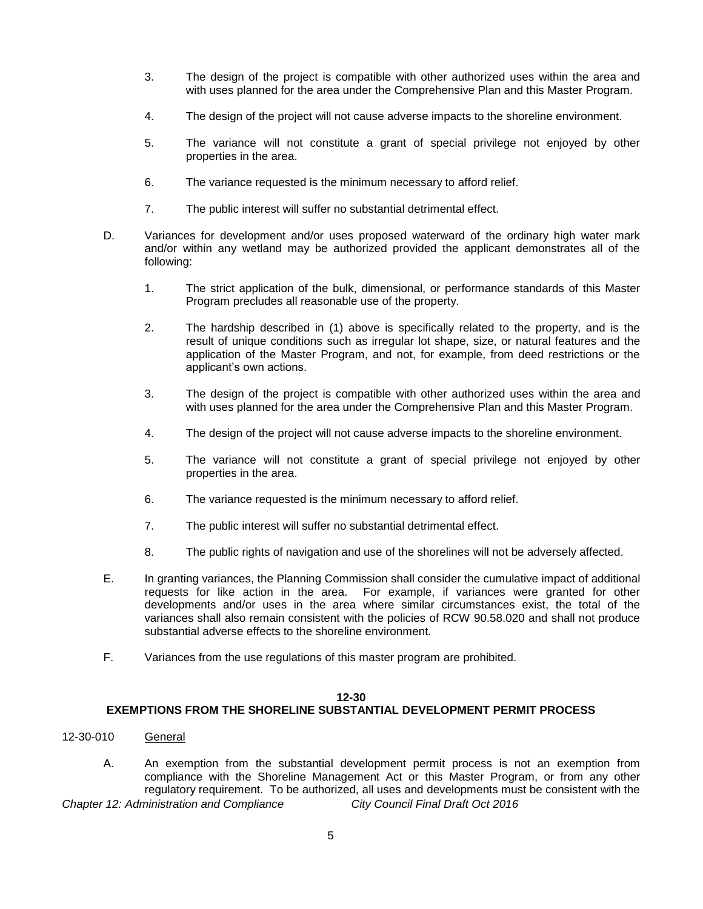- 3. The design of the project is compatible with other authorized uses within the area and with uses planned for the area under the Comprehensive Plan and this Master Program.
- 4. The design of the project will not cause adverse impacts to the shoreline environment.
- 5. The variance will not constitute a grant of special privilege not enjoyed by other properties in the area.
- 6. The variance requested is the minimum necessary to afford relief.
- 7. The public interest will suffer no substantial detrimental effect.
- D. Variances for development and/or uses proposed waterward of the ordinary high water mark and/or within any wetland may be authorized provided the applicant demonstrates all of the following:
	- 1. The strict application of the bulk, dimensional, or performance standards of this Master Program precludes all reasonable use of the property.
	- 2. The hardship described in (1) above is specifically related to the property, and is the result of unique conditions such as irregular lot shape, size, or natural features and the application of the Master Program, and not, for example, from deed restrictions or the applicant's own actions.
	- 3. The design of the project is compatible with other authorized uses within the area and with uses planned for the area under the Comprehensive Plan and this Master Program.
	- 4. The design of the project will not cause adverse impacts to the shoreline environment.
	- 5. The variance will not constitute a grant of special privilege not enjoyed by other properties in the area.
	- 6. The variance requested is the minimum necessary to afford relief.
	- 7. The public interest will suffer no substantial detrimental effect.
	- 8. The public rights of navigation and use of the shorelines will not be adversely affected.
- E. In granting variances, the Planning Commission shall consider the cumulative impact of additional requests for like action in the area. For example, if variances were granted for other developments and/or uses in the area where similar circumstances exist, the total of the variances shall also remain consistent with the policies of RCW 90.58.020 and shall not produce substantial adverse effects to the shoreline environment.
- F. Variances from the use regulations of this master program are prohibited.

## **12-30**

## **EXEMPTIONS FROM THE SHORELINE SUBSTANTIAL DEVELOPMENT PERMIT PROCESS**

- 12-30-010 General
- *Chapter 12: Administration and Compliance City Council Final Draft Oct 2016* A. An exemption from the substantial development permit process is not an exemption from compliance with the Shoreline Management Act or this Master Program, or from any other regulatory requirement. To be authorized, all uses and developments must be consistent with the
-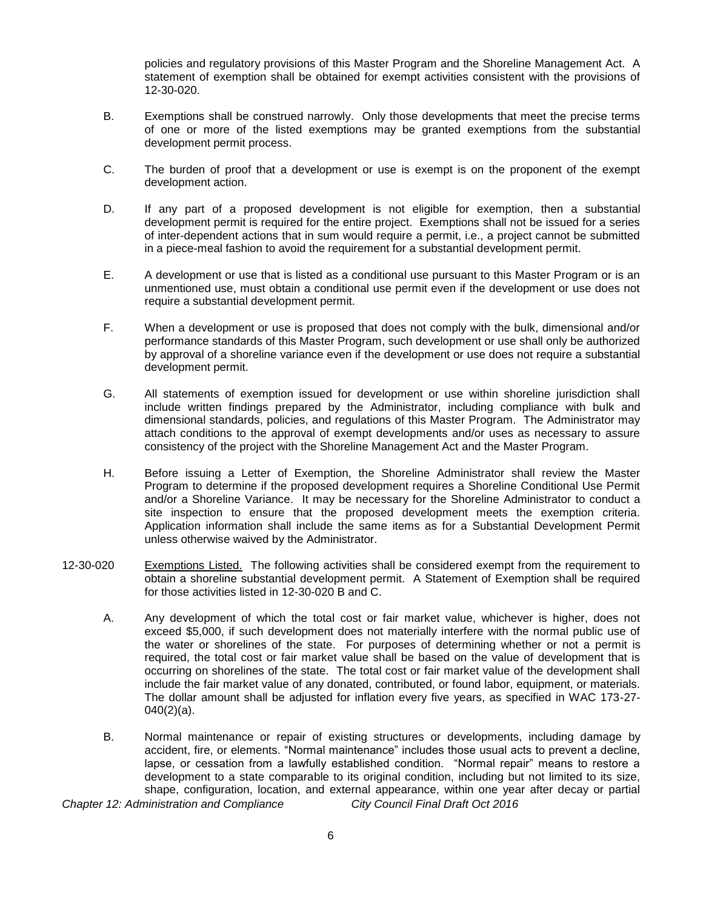policies and regulatory provisions of this Master Program and the Shoreline Management Act. A statement of exemption shall be obtained for exempt activities consistent with the provisions of 12-30-020.

- B. Exemptions shall be construed narrowly. Only those developments that meet the precise terms of one or more of the listed exemptions may be granted exemptions from the substantial development permit process.
- C. The burden of proof that a development or use is exempt is on the proponent of the exempt development action.
- D. If any part of a proposed development is not eligible for exemption, then a substantial development permit is required for the entire project. Exemptions shall not be issued for a series of inter-dependent actions that in sum would require a permit, i.e., a project cannot be submitted in a piece-meal fashion to avoid the requirement for a substantial development permit.
- E. A development or use that is listed as a conditional use pursuant to this Master Program or is an unmentioned use, must obtain a conditional use permit even if the development or use does not require a substantial development permit.
- F. When a development or use is proposed that does not comply with the bulk, dimensional and/or performance standards of this Master Program, such development or use shall only be authorized by approval of a shoreline variance even if the development or use does not require a substantial development permit.
- G. All statements of exemption issued for development or use within shoreline jurisdiction shall include written findings prepared by the Administrator, including compliance with bulk and dimensional standards, policies, and regulations of this Master Program. The Administrator may attach conditions to the approval of exempt developments and/or uses as necessary to assure consistency of the project with the Shoreline Management Act and the Master Program.
- H. Before issuing a Letter of Exemption, the Shoreline Administrator shall review the Master Program to determine if the proposed development requires a Shoreline Conditional Use Permit and/or a Shoreline Variance. It may be necessary for the Shoreline Administrator to conduct a site inspection to ensure that the proposed development meets the exemption criteria. Application information shall include the same items as for a Substantial Development Permit unless otherwise waived by the Administrator.
- 12-30-020 Exemptions Listed. The following activities shall be considered exempt from the requirement to obtain a shoreline substantial development permit. A Statement of Exemption shall be required for those activities listed in 12-30-020 B and C.
	- A. Any development of which the total cost or fair market value, whichever is higher, does not exceed \$5,000, if such development does not materially interfere with the normal public use of the water or shorelines of the state. For purposes of determining whether or not a permit is required, the total cost or fair market value shall be based on the value of development that is occurring on shorelines of the state. The total cost or fair market value of the development shall include the fair market value of any donated, contributed, or found labor, equipment, or materials. The dollar amount shall be adjusted for inflation every five years, as specified in WAC 173-27-  $040(2)(a)$ .
	- B. Normal maintenance or repair of existing structures or developments, including damage by accident, fire, or elements. "Normal maintenance" includes those usual acts to prevent a decline, lapse, or cessation from a lawfully established condition. "Normal repair" means to restore a development to a state comparable to its original condition, including but not limited to its size, shape, configuration, location, and external appearance, within one year after decay or partial

*Chapter 12: Administration and Compliance City Council Final Draft Oct 2016*

6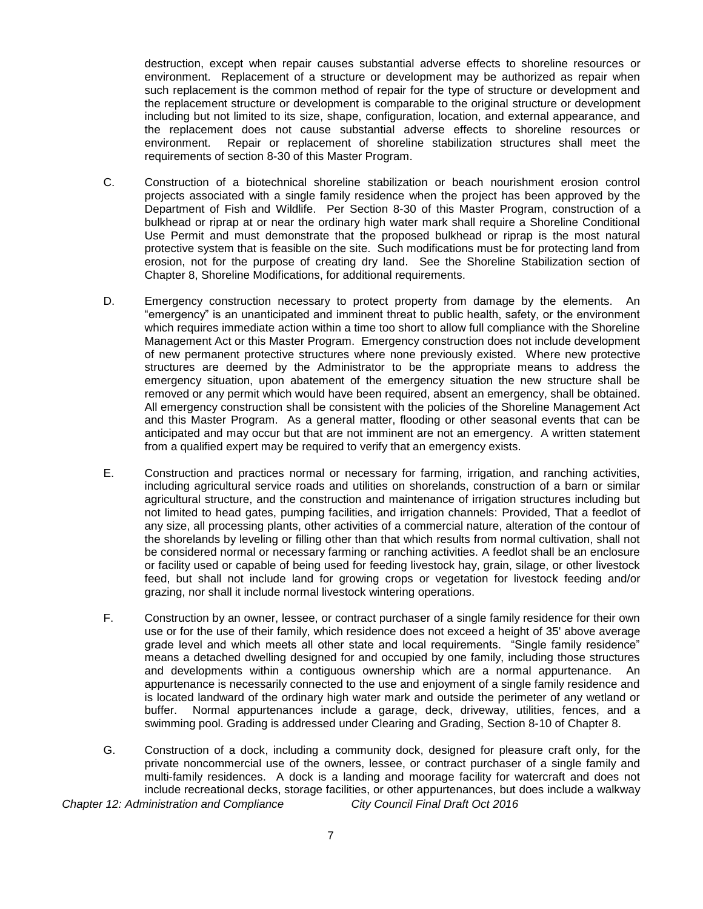destruction, except when repair causes substantial adverse effects to shoreline resources or environment. Replacement of a structure or development may be authorized as repair when such replacement is the common method of repair for the type of structure or development and the replacement structure or development is comparable to the original structure or development including but not limited to its size, shape, configuration, location, and external appearance, and the replacement does not cause substantial adverse effects to shoreline resources or environment. Repair or replacement of shoreline stabilization structures shall meet the requirements of section 8-30 of this Master Program.

- C. Construction of a biotechnical shoreline stabilization or beach nourishment erosion control projects associated with a single family residence when the project has been approved by the Department of Fish and Wildlife. Per Section 8-30 of this Master Program, construction of a bulkhead or riprap at or near the ordinary high water mark shall require a Shoreline Conditional Use Permit and must demonstrate that the proposed bulkhead or riprap is the most natural protective system that is feasible on the site. Such modifications must be for protecting land from erosion, not for the purpose of creating dry land. See the Shoreline Stabilization section of Chapter 8, Shoreline Modifications, for additional requirements.
- D. Emergency construction necessary to protect property from damage by the elements. An "emergency" is an unanticipated and imminent threat to public health, safety, or the environment which requires immediate action within a time too short to allow full compliance with the Shoreline Management Act or this Master Program. Emergency construction does not include development of new permanent protective structures where none previously existed. Where new protective structures are deemed by the Administrator to be the appropriate means to address the emergency situation, upon abatement of the emergency situation the new structure shall be removed or any permit which would have been required, absent an emergency, shall be obtained. All emergency construction shall be consistent with the policies of the Shoreline Management Act and this Master Program. As a general matter, flooding or other seasonal events that can be anticipated and may occur but that are not imminent are not an emergency. A written statement from a qualified expert may be required to verify that an emergency exists.
- E. Construction and practices normal or necessary for farming, irrigation, and ranching activities, including agricultural service roads and utilities on shorelands, construction of a barn or similar agricultural structure, and the construction and maintenance of irrigation structures including but not limited to head gates, pumping facilities, and irrigation channels: Provided, That a feedlot of any size, all processing plants, other activities of a commercial nature, alteration of the contour of the shorelands by leveling or filling other than that which results from normal cultivation, shall not be considered normal or necessary farming or ranching activities. A feedlot shall be an enclosure or facility used or capable of being used for feeding livestock hay, grain, silage, or other livestock feed, but shall not include land for growing crops or vegetation for livestock feeding and/or grazing, nor shall it include normal livestock wintering operations.
- F. Construction by an owner, lessee, or contract purchaser of a single family residence for their own use or for the use of their family, which residence does not exceed a height of 35' above average grade level and which meets all other state and local requirements. "Single family residence" means a detached dwelling designed for and occupied by one family, including those structures and developments within a contiguous ownership which are a normal appurtenance. An appurtenance is necessarily connected to the use and enjoyment of a single family residence and is located landward of the ordinary high water mark and outside the perimeter of any wetland or buffer. Normal appurtenances include a garage, deck, driveway, utilities, fences, and a swimming pool. Grading is addressed under Clearing and Grading, Section 8-10 of Chapter 8.
- *Chapter 12: Administration and Compliance City Council Final Draft Oct 2016* G. Construction of a dock, including a community dock, designed for pleasure craft only, for the private noncommercial use of the owners, lessee, or contract purchaser of a single family and multi-family residences. A dock is a landing and moorage facility for watercraft and does not include recreational decks, storage facilities, or other appurtenances, but does include a walkway

7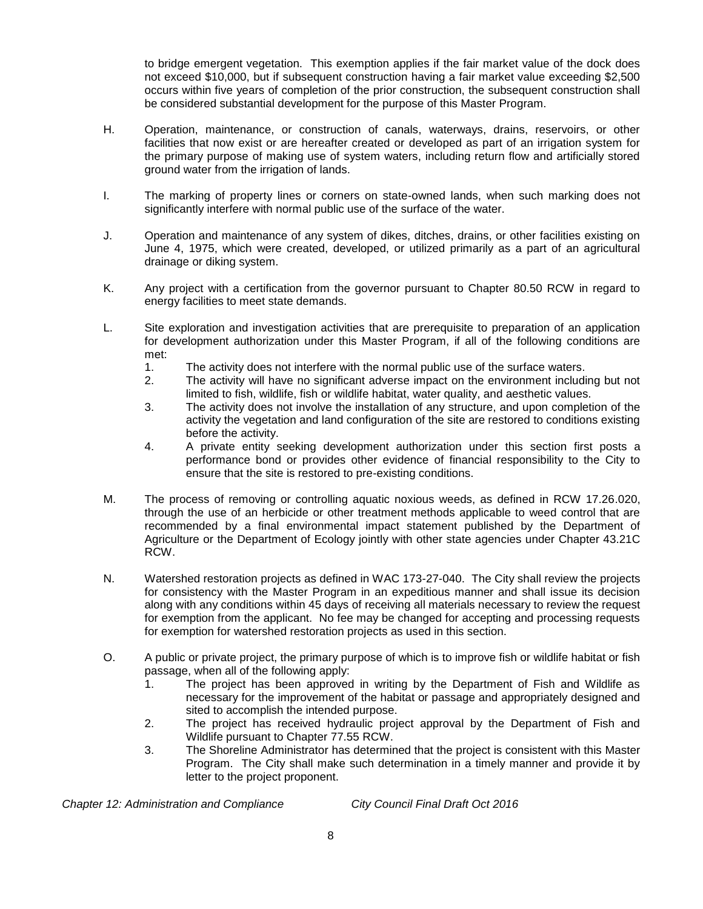to bridge emergent vegetation. This exemption applies if the fair market value of the dock does not exceed \$10,000, but if subsequent construction having a fair market value exceeding \$2,500 occurs within five years of completion of the prior construction, the subsequent construction shall be considered substantial development for the purpose of this Master Program.

- H. Operation, maintenance, or construction of canals, waterways, drains, reservoirs, or other facilities that now exist or are hereafter created or developed as part of an irrigation system for the primary purpose of making use of system waters, including return flow and artificially stored ground water from the irrigation of lands.
- I. The marking of property lines or corners on state-owned lands, when such marking does not significantly interfere with normal public use of the surface of the water.
- J. Operation and maintenance of any system of dikes, ditches, drains, or other facilities existing on June 4, 1975, which were created, developed, or utilized primarily as a part of an agricultural drainage or diking system.
- K. Any project with a certification from the governor pursuant to Chapter 80.50 RCW in regard to energy facilities to meet state demands.
- L. Site exploration and investigation activities that are prerequisite to preparation of an application for development authorization under this Master Program, if all of the following conditions are met:
	- 1. The activity does not interfere with the normal public use of the surface waters.
	- 2. The activity will have no significant adverse impact on the environment including but not limited to fish, wildlife, fish or wildlife habitat, water quality, and aesthetic values.
	- 3. The activity does not involve the installation of any structure, and upon completion of the activity the vegetation and land configuration of the site are restored to conditions existing before the activity.
	- 4. A private entity seeking development authorization under this section first posts a performance bond or provides other evidence of financial responsibility to the City to ensure that the site is restored to pre-existing conditions.
- M. The process of removing or controlling aquatic noxious weeds, as defined in RCW 17.26.020, through the use of an herbicide or other treatment methods applicable to weed control that are recommended by a final environmental impact statement published by the Department of Agriculture or the Department of Ecology jointly with other state agencies under Chapter 43.21C RCW.
- N. Watershed restoration projects as defined in WAC 173-27-040. The City shall review the projects for consistency with the Master Program in an expeditious manner and shall issue its decision along with any conditions within 45 days of receiving all materials necessary to review the request for exemption from the applicant. No fee may be changed for accepting and processing requests for exemption for watershed restoration projects as used in this section.
- O. A public or private project, the primary purpose of which is to improve fish or wildlife habitat or fish passage, when all of the following apply:
	- 1. The project has been approved in writing by the Department of Fish and Wildlife as necessary for the improvement of the habitat or passage and appropriately designed and sited to accomplish the intended purpose.
	- 2. The project has received hydraulic project approval by the Department of Fish and Wildlife pursuant to Chapter 77.55 RCW.
	- 3. The Shoreline Administrator has determined that the project is consistent with this Master Program. The City shall make such determination in a timely manner and provide it by letter to the project proponent.

*Chapter 12: Administration and Compliance City Council Final Draft Oct 2016*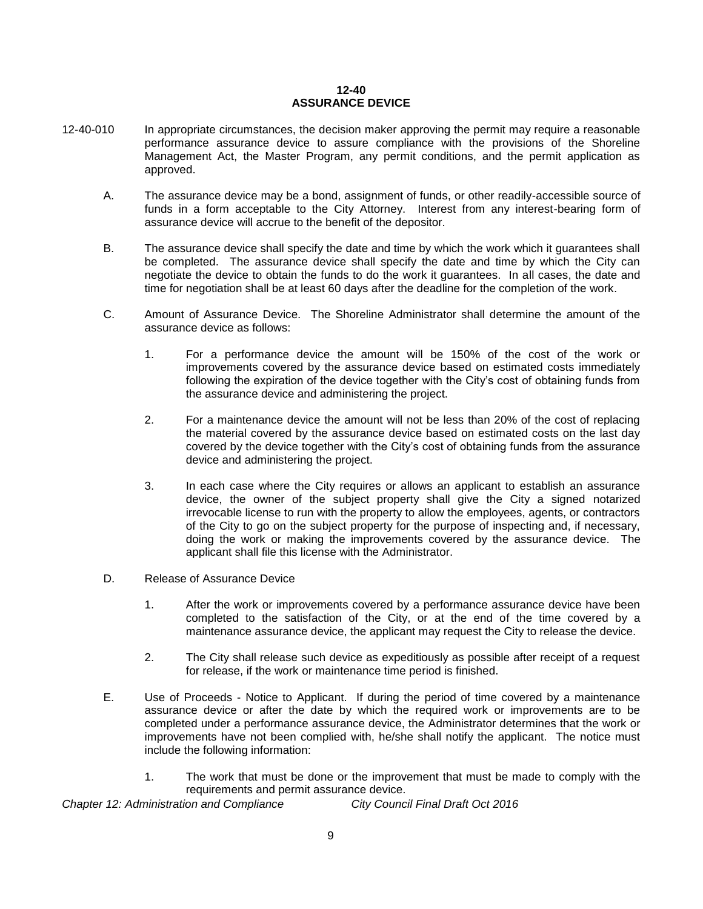### **12-40 ASSURANCE DEVICE**

- 12-40-010 In appropriate circumstances, the decision maker approving the permit may require a reasonable performance assurance device to assure compliance with the provisions of the Shoreline Management Act, the Master Program, any permit conditions, and the permit application as approved.
	- A. The assurance device may be a bond, assignment of funds, or other readily-accessible source of funds in a form acceptable to the City Attorney. Interest from any interest-bearing form of assurance device will accrue to the benefit of the depositor.
	- B. The assurance device shall specify the date and time by which the work which it guarantees shall be completed. The assurance device shall specify the date and time by which the City can negotiate the device to obtain the funds to do the work it guarantees. In all cases, the date and time for negotiation shall be at least 60 days after the deadline for the completion of the work.
	- C. Amount of Assurance Device. The Shoreline Administrator shall determine the amount of the assurance device as follows:
		- 1. For a performance device the amount will be 150% of the cost of the work or improvements covered by the assurance device based on estimated costs immediately following the expiration of the device together with the City's cost of obtaining funds from the assurance device and administering the project.
		- 2. For a maintenance device the amount will not be less than 20% of the cost of replacing the material covered by the assurance device based on estimated costs on the last day covered by the device together with the City's cost of obtaining funds from the assurance device and administering the project.
		- 3. In each case where the City requires or allows an applicant to establish an assurance device, the owner of the subject property shall give the City a signed notarized irrevocable license to run with the property to allow the employees, agents, or contractors of the City to go on the subject property for the purpose of inspecting and, if necessary, doing the work or making the improvements covered by the assurance device. The applicant shall file this license with the Administrator.
	- D. Release of Assurance Device
		- 1. After the work or improvements covered by a performance assurance device have been completed to the satisfaction of the City, or at the end of the time covered by a maintenance assurance device, the applicant may request the City to release the device.
		- 2. The City shall release such device as expeditiously as possible after receipt of a request for release, if the work or maintenance time period is finished.
	- E. Use of Proceeds Notice to Applicant. If during the period of time covered by a maintenance assurance device or after the date by which the required work or improvements are to be completed under a performance assurance device, the Administrator determines that the work or improvements have not been complied with, he/she shall notify the applicant. The notice must include the following information:
		- 1. The work that must be done or the improvement that must be made to comply with the requirements and permit assurance device.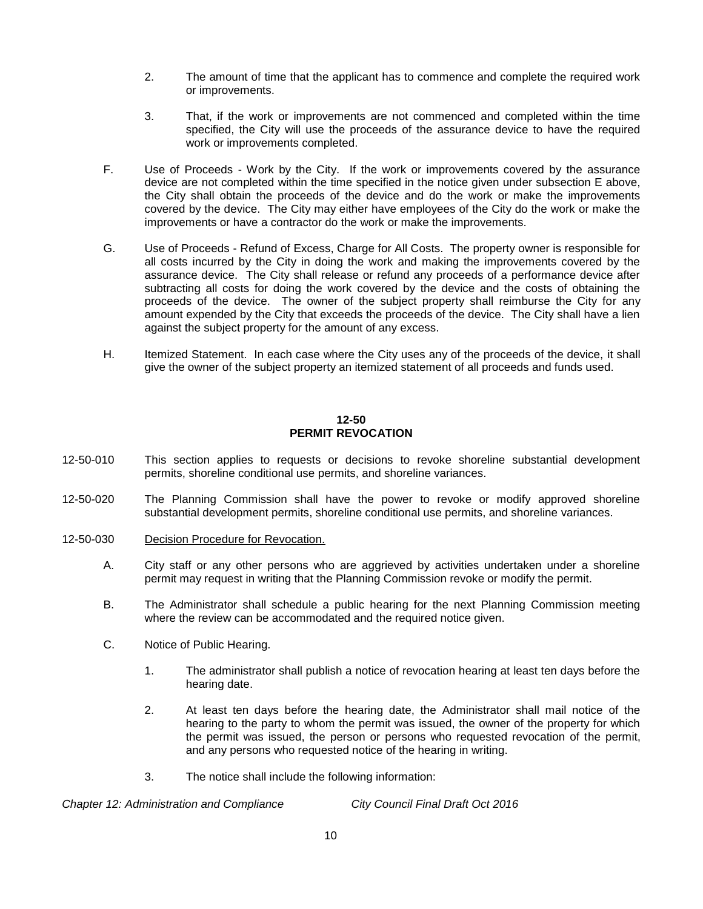- 2. The amount of time that the applicant has to commence and complete the required work or improvements.
- 3. That, if the work or improvements are not commenced and completed within the time specified, the City will use the proceeds of the assurance device to have the required work or improvements completed.
- F. Use of Proceeds Work by the City. If the work or improvements covered by the assurance device are not completed within the time specified in the notice given under subsection E above, the City shall obtain the proceeds of the device and do the work or make the improvements covered by the device. The City may either have employees of the City do the work or make the improvements or have a contractor do the work or make the improvements.
- G. Use of Proceeds Refund of Excess, Charge for All Costs. The property owner is responsible for all costs incurred by the City in doing the work and making the improvements covered by the assurance device. The City shall release or refund any proceeds of a performance device after subtracting all costs for doing the work covered by the device and the costs of obtaining the proceeds of the device. The owner of the subject property shall reimburse the City for any amount expended by the City that exceeds the proceeds of the device. The City shall have a lien against the subject property for the amount of any excess.
- H. Itemized Statement. In each case where the City uses any of the proceeds of the device, it shall give the owner of the subject property an itemized statement of all proceeds and funds used.

### **12-50 PERMIT REVOCATION**

- 12-50-010 This section applies to requests or decisions to revoke shoreline substantial development permits, shoreline conditional use permits, and shoreline variances.
- 12-50-020 The Planning Commission shall have the power to revoke or modify approved shoreline substantial development permits, shoreline conditional use permits, and shoreline variances.
- 12-50-030 Decision Procedure for Revocation.
	- A. City staff or any other persons who are aggrieved by activities undertaken under a shoreline permit may request in writing that the Planning Commission revoke or modify the permit.
	- B. The Administrator shall schedule a public hearing for the next Planning Commission meeting where the review can be accommodated and the required notice given.
	- C. Notice of Public Hearing.
		- 1. The administrator shall publish a notice of revocation hearing at least ten days before the hearing date.
		- 2. At least ten days before the hearing date, the Administrator shall mail notice of the hearing to the party to whom the permit was issued, the owner of the property for which the permit was issued, the person or persons who requested revocation of the permit, and any persons who requested notice of the hearing in writing.
		- 3. The notice shall include the following information: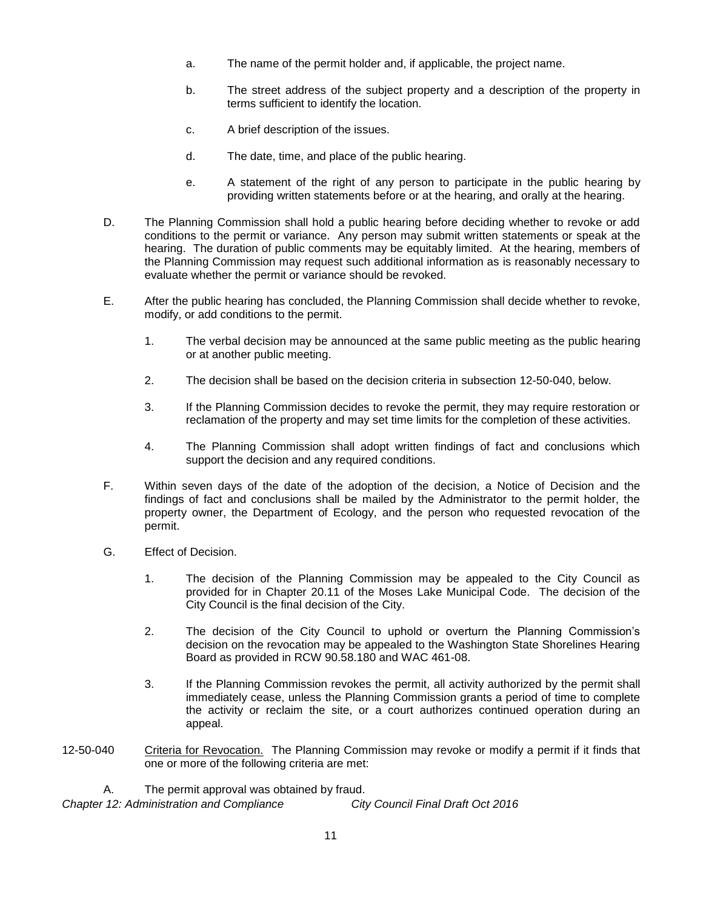- a. The name of the permit holder and, if applicable, the project name.
- b. The street address of the subject property and a description of the property in terms sufficient to identify the location.
- c. A brief description of the issues.
- d. The date, time, and place of the public hearing.
- e. A statement of the right of any person to participate in the public hearing by providing written statements before or at the hearing, and orally at the hearing.
- D. The Planning Commission shall hold a public hearing before deciding whether to revoke or add conditions to the permit or variance. Any person may submit written statements or speak at the hearing. The duration of public comments may be equitably limited. At the hearing, members of the Planning Commission may request such additional information as is reasonably necessary to evaluate whether the permit or variance should be revoked.
- E. After the public hearing has concluded, the Planning Commission shall decide whether to revoke, modify, or add conditions to the permit.
	- 1. The verbal decision may be announced at the same public meeting as the public hearing or at another public meeting.
	- 2. The decision shall be based on the decision criteria in subsection 12-50-040, below.
	- 3. If the Planning Commission decides to revoke the permit, they may require restoration or reclamation of the property and may set time limits for the completion of these activities.
	- 4. The Planning Commission shall adopt written findings of fact and conclusions which support the decision and any required conditions.
- F. Within seven days of the date of the adoption of the decision, a Notice of Decision and the findings of fact and conclusions shall be mailed by the Administrator to the permit holder, the property owner, the Department of Ecology, and the person who requested revocation of the permit.
- G. Effect of Decision.
	- 1. The decision of the Planning Commission may be appealed to the City Council as provided for in Chapter 20.11 of the Moses Lake Municipal Code. The decision of the City Council is the final decision of the City.
	- 2. The decision of the City Council to uphold or overturn the Planning Commission's decision on the revocation may be appealed to the Washington State Shorelines Hearing Board as provided in RCW 90.58.180 and WAC 461-08.
	- 3. If the Planning Commission revokes the permit, all activity authorized by the permit shall immediately cease, unless the Planning Commission grants a period of time to complete the activity or reclaim the site, or a court authorizes continued operation during an appeal.
- 12-50-040 Criteria for Revocation. The Planning Commission may revoke or modify a permit if it finds that one or more of the following criteria are met:

*Chapter 12: Administration and Compliance City Council Final Draft Oct 2016* A. The permit approval was obtained by fraud.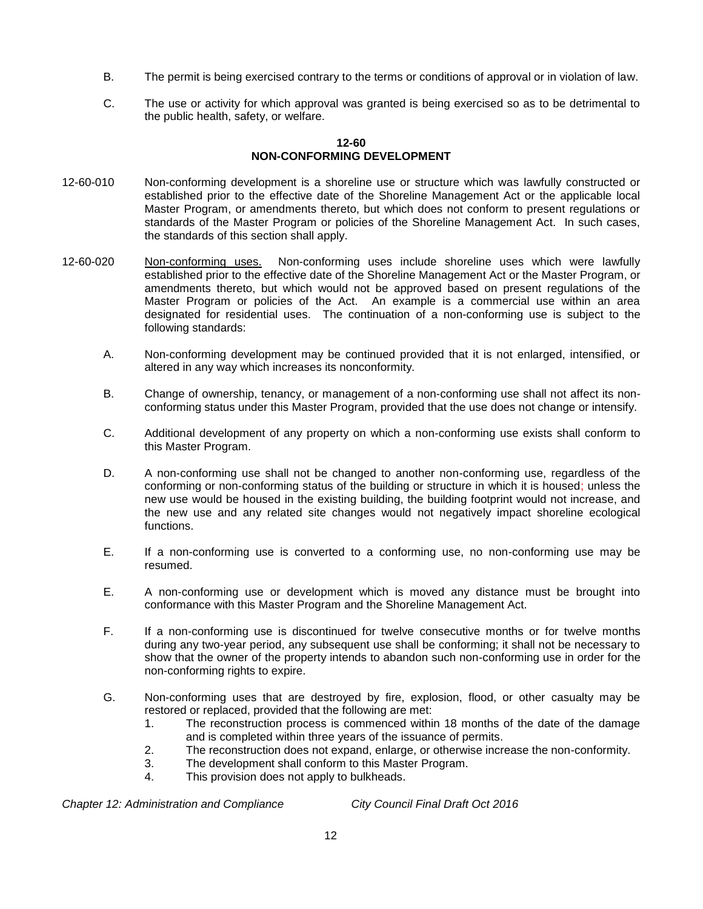- B. The permit is being exercised contrary to the terms or conditions of approval or in violation of law.
- C. The use or activity for which approval was granted is being exercised so as to be detrimental to the public health, safety, or welfare.

### **12-60 NON-CONFORMING DEVELOPMENT**

- 12-60-010 Non-conforming development is a shoreline use or structure which was lawfully constructed or established prior to the effective date of the Shoreline Management Act or the applicable local Master Program, or amendments thereto, but which does not conform to present regulations or standards of the Master Program or policies of the Shoreline Management Act. In such cases, the standards of this section shall apply.
- 12-60-020 Non-conforming uses. Non-conforming uses include shoreline uses which were lawfully established prior to the effective date of the Shoreline Management Act or the Master Program, or amendments thereto, but which would not be approved based on present regulations of the Master Program or policies of the Act. An example is a commercial use within an area designated for residential uses. The continuation of a non-conforming use is subject to the following standards:
	- A. Non-conforming development may be continued provided that it is not enlarged, intensified, or altered in any way which increases its nonconformity.
	- B. Change of ownership, tenancy, or management of a non-conforming use shall not affect its nonconforming status under this Master Program, provided that the use does not change or intensify.
	- C. Additional development of any property on which a non-conforming use exists shall conform to this Master Program.
	- D. A non-conforming use shall not be changed to another non-conforming use, regardless of the conforming or non-conforming status of the building or structure in which it is housed; unless the new use would be housed in the existing building, the building footprint would not increase, and the new use and any related site changes would not negatively impact shoreline ecological functions.
	- E. If a non-conforming use is converted to a conforming use, no non-conforming use may be resumed.
	- E. A non-conforming use or development which is moved any distance must be brought into conformance with this Master Program and the Shoreline Management Act.
	- F. If a non-conforming use is discontinued for twelve consecutive months or for twelve months during any two-year period, any subsequent use shall be conforming; it shall not be necessary to show that the owner of the property intends to abandon such non-conforming use in order for the non-conforming rights to expire.
	- G. Non-conforming uses that are destroyed by fire, explosion, flood, or other casualty may be restored or replaced, provided that the following are met:
		- 1. The reconstruction process is commenced within 18 months of the date of the damage and is completed within three years of the issuance of permits.
		- 2. The reconstruction does not expand, enlarge, or otherwise increase the non-conformity.
		- 3. The development shall conform to this Master Program.
		- 4. This provision does not apply to bulkheads.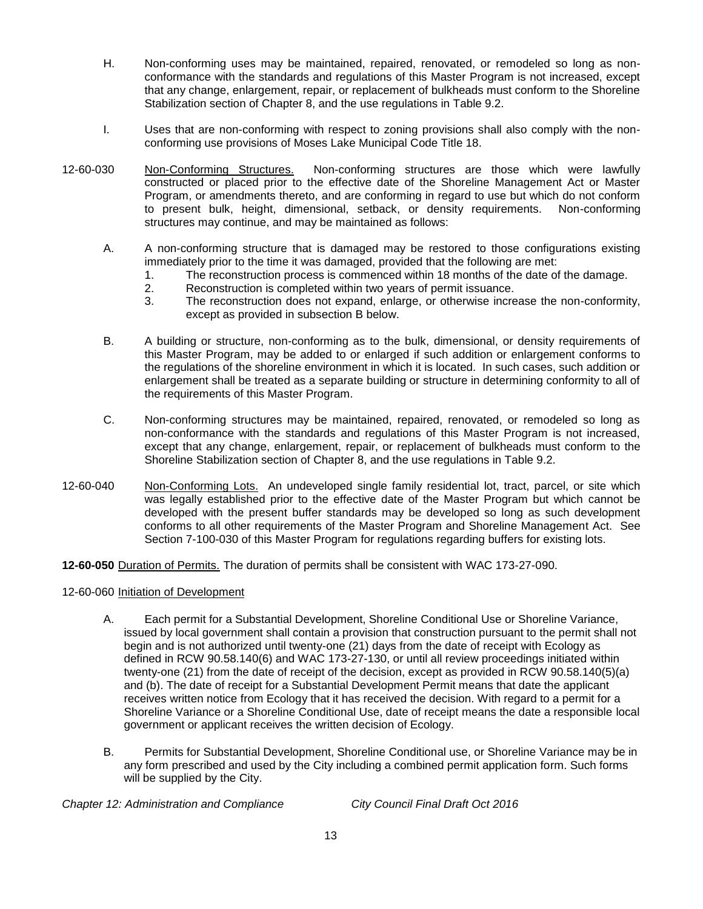- H. Non-conforming uses may be maintained, repaired, renovated, or remodeled so long as nonconformance with the standards and regulations of this Master Program is not increased, except that any change, enlargement, repair, or replacement of bulkheads must conform to the Shoreline Stabilization section of Chapter 8, and the use regulations in Table 9.2.
- I. Uses that are non-conforming with respect to zoning provisions shall also comply with the nonconforming use provisions of Moses Lake Municipal Code Title 18.
- 12-60-030 Non-Conforming Structures. Non-conforming structures are those which were lawfully constructed or placed prior to the effective date of the Shoreline Management Act or Master Program, or amendments thereto, and are conforming in regard to use but which do not conform to present bulk, height, dimensional, setback, or density requirements. Non-conforming structures may continue, and may be maintained as follows:
	- A. A non-conforming structure that is damaged may be restored to those configurations existing immediately prior to the time it was damaged, provided that the following are met:
		- 1. The reconstruction process is commenced within 18 months of the date of the damage.
		- 2. Reconstruction is completed within two years of permit issuance.
		- 3. The reconstruction does not expand, enlarge, or otherwise increase the non-conformity, except as provided in subsection B below.
	- B. A building or structure, non-conforming as to the bulk, dimensional, or density requirements of this Master Program, may be added to or enlarged if such addition or enlargement conforms to the regulations of the shoreline environment in which it is located. In such cases, such addition or enlargement shall be treated as a separate building or structure in determining conformity to all of the requirements of this Master Program.
	- C. Non-conforming structures may be maintained, repaired, renovated, or remodeled so long as non-conformance with the standards and regulations of this Master Program is not increased, except that any change, enlargement, repair, or replacement of bulkheads must conform to the Shoreline Stabilization section of Chapter 8, and the use regulations in Table 9.2.
- 12-60-040 Non-Conforming Lots. An undeveloped single family residential lot, tract, parcel, or site which was legally established prior to the effective date of the Master Program but which cannot be developed with the present buffer standards may be developed so long as such development conforms to all other requirements of the Master Program and Shoreline Management Act. See Section 7-100-030 of this Master Program for regulations regarding buffers for existing lots.

**12-60-050** Duration of Permits. The duration of permits shall be consistent with WAC 173-27-090.

### 12-60-060 Initiation of Development

- A. Each permit for a Substantial Development, Shoreline Conditional Use or Shoreline Variance, issued by local government shall contain a provision that construction pursuant to the permit shall not begin and is not authorized until twenty-one (21) days from the date of receipt with Ecology as defined in RCW 90.58.140(6) and WAC 173-27-130, or until all review proceedings initiated within twenty-one (21) from the date of receipt of the decision, except as provided in RCW 90.58.140(5)(a) and (b). The date of receipt for a Substantial Development Permit means that date the applicant receives written notice from Ecology that it has received the decision. With regard to a permit for a Shoreline Variance or a Shoreline Conditional Use, date of receipt means the date a responsible local government or applicant receives the written decision of Ecology.
- B. Permits for Substantial Development, Shoreline Conditional use, or Shoreline Variance may be in any form prescribed and used by the City including a combined permit application form. Such forms will be supplied by the City.

*Chapter 12: Administration and Compliance City Council Final Draft Oct 2016*